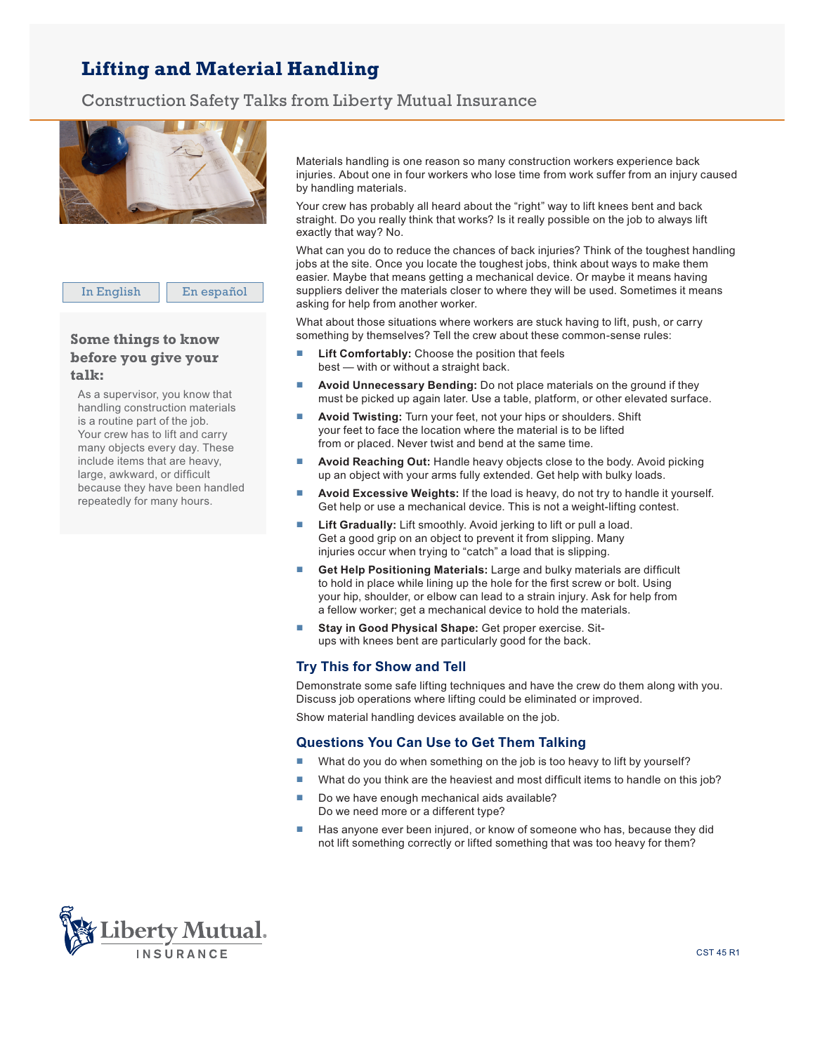## **Lifting and Material Handling**

Construction Safety Talks from Liberty Mutual Insurance



In English | En español

## **Some things to know before you give your talk:**

As a supervisor, you know that handling construction materials is a routine part of the job. Your crew has to lift and carry many objects every day. These include items that are heavy, large, awkward, or difficult because they have been handled repeatedly for many hours.

Materials handling is one reason so many construction workers experience back injuries. About one in four workers who lose time from work suffer from an injury caused by handling materials.

Your crew has probably all heard about the "right" way to lift knees bent and back straight. Do you really think that works? Is it really possible on the job to always lift exactly that way? No.

What can you do to reduce the chances of back injuries? Think of the toughest handling jobs at the site. Once you locate the toughest jobs, think about ways to make them easier. Maybe that means getting a mechanical device. Or maybe it means having suppliers deliver the materials closer to where they will be used. Sometimes it means asking for help from another worker.

What about those situations where workers are stuck having to lift, push, or carry something by themselves? Tell the crew about these common-sense rules:

- Lift Comfortably: Choose the position that feels best — with or without a straight back.
- Avoid Unnecessary Bending: Do not place materials on the ground if they must be picked up again later. Use a table, platform, or other elevated surface.
- **Avoid Twisting:** Turn your feet, not your hips or shoulders. Shift your feet to face the location where the material is to be lifted from or placed. Never twist and bend at the same time.
- **Avoid Reaching Out:** Handle heavy objects close to the body. Avoid picking up an object with your arms fully extended. Get help with bulky loads.
- **Avoid Excessive Weights:** If the load is heavy, do not try to handle it yourself. Get help or use a mechanical device. This is not a weight-lifting contest.
- Lift Gradually: Lift smoothly. Avoid jerking to lift or pull a load. Get a good grip on an object to prevent it from slipping. Many injuries occur when trying to "catch" a load that is slipping.
- Get Help Positioning Materials: Large and bulky materials are difficult to hold in place while lining up the hole for the first screw or bolt. Using your hip, shoulder, or elbow can lead to a strain injury. Ask for help from a fellow worker; get a mechanical device to hold the materials.
- **F** Stay in Good Physical Shape: Get proper exercise. Situps with knees bent are particularly good for the back.

## **Try This for Show and Tell**

Demonstrate some safe lifting techniques and have the crew do them along with you. Discuss job operations where lifting could be eliminated or improved.

Show material handling devices available on the job.

## **Questions You Can Use to Get Them Talking**

- What do you do when something on the job is too heavy to lift by yourself?
- $\blacksquare$  What do you think are the heaviest and most difficult items to handle on this job?
- $\blacksquare$  Do we have enough mechanical aids available? Do we need more or a different type?
- **Has anyone ever been injured, or know of someone who has, because they did** not lift something correctly or lifted something that was too heavy for them?